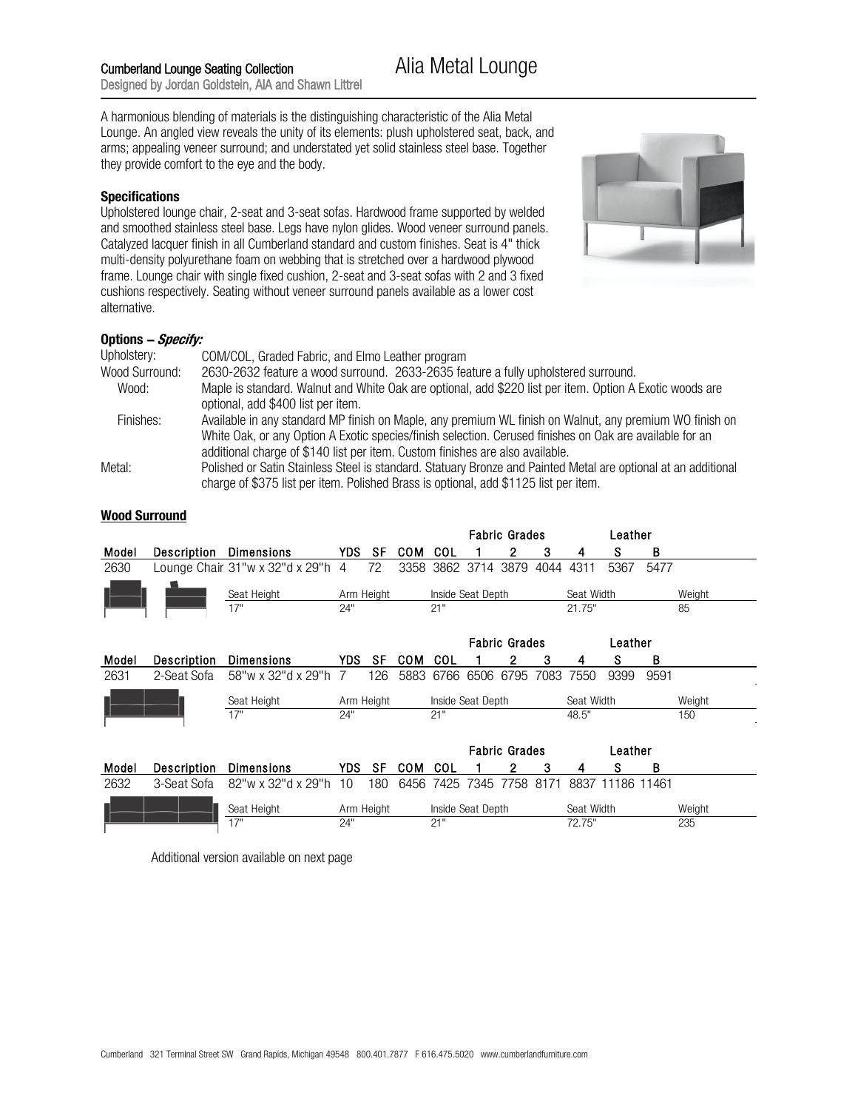A harmonious blending of materials is the distinguishing characteristic of the Alia Metal Lounge. An angled view reveals the unity of its elements: plush upholstered seat, back, and arms; appealing veneer surround; and understated yet solid stainless steel base. Together they provide comfort to the eye and the body.

## **Specifications**

Upholstered lounge chair, 2-seat and 3-seat sofas. Hardwood frame supported by welded and smoothed stainless steel base. Legs have nylon glides. Wood veneer surround panels. Catalyzed lacquer finish in all Cumberland standard and custom finishes. Seat is 4" thick multi-density polyurethane foam on webbing that is stretched over a hardwood plywood frame. Lounge chair with single fixed cushion, 2-seat and 3-seat sofas with 2 and 3 fixed cushions respectively. Seating without veneer surround panels available as a lower cost alternative.



## **Options ! Specify:**

| Upholstery:    | COM/COL, Graded Fabric, and Elmo Leather program                                                               |
|----------------|----------------------------------------------------------------------------------------------------------------|
| Wood Surround: | 2630-2632 feature a wood surround. 2633-2635 feature a fully upholstered surround.                             |
| Wood:          | Maple is standard. Walnut and White Oak are optional, add \$220 list per item. Option A Exotic woods are       |
|                | optional, add \$400 list per item.                                                                             |
| Finishes:      | Available in any standard MP finish on Maple, any premium WL finish on Walnut, any premium WO finish on        |
|                | White Oak, or any Option A Exotic species/finish selection. Cerused finishes on Oak are available for an       |
|                | additional charge of \$140 list per item. Custom finishes are also available.                                  |
| Metal:         | Polished or Satin Stainless Steel is standard. Statuary Bronze and Painted Metal are optional at an additional |
|                | charge of \$375 list per item. Polished Brass is optional, add \$1125 list per item.                           |

Fabric Grades

|       |             |                                   |                |     |            | <b>Fabric Grades</b> |                   |                      |      | Leather    |         |       |        |
|-------|-------------|-----------------------------------|----------------|-----|------------|----------------------|-------------------|----------------------|------|------------|---------|-------|--------|
| Model | Description | <b>Dimensions</b>                 | YDS.           | SF  | <b>COM</b> | COL                  |                   |                      | 3    | 4          | s       | В     |        |
| 2630  |             | Lounge Chair 31"w x 32"d x 29"h 4 |                | 72  | 3358       |                      | 3862 3714 3879    |                      | 4044 | 4311       | 5367    | 5477  |        |
|       |             | Seat Height                       | Arm Height     |     |            |                      | Inside Seat Depth |                      |      | Seat Width |         |       | Weight |
|       |             | 17"                               | 24"            |     |            | 21"                  |                   |                      |      | 21.75"     |         |       | 85     |
|       |             |                                   |                |     |            |                      |                   | <b>Fabric Grades</b> |      |            | Leather |       |        |
| Model | Description | <b>Dimensions</b>                 | YDS.           | SF  | <b>COM</b> | COL                  |                   | 2                    | 3    | 4          | s       | В     |        |
| 2631  | 2-Seat Sofa | 58"w x 32"d x 29"h                | $\overline{7}$ | 126 | 5883       | 6766                 | 6506              | 6795                 | 7083 | 7550       | 9399    | 9591  |        |
|       |             | Seat Height                       | Arm Height     |     |            | Inside Seat Depth    |                   |                      |      | Seat Width |         |       | Weight |
|       |             | 17"                               | 24"            |     |            | 21"                  |                   |                      |      | 48.5"      |         |       | 150    |
|       |             |                                   |                |     |            | <b>Fabric Grades</b> |                   | Leather              |      |            |         |       |        |
| Model | Description | <b>Dimensions</b>                 | <b>YDS</b>     | SF  | <b>COM</b> | COL                  |                   |                      | 3    | 4          | s       | В     |        |
| 2632  | 3-Seat Sofa | 82"w x 32"d x 29"h                | 10             | 180 | 6456       | 7425                 | 7345              | 7758                 | 8171 | 8837       | 11186   | 11461 |        |
|       |             | Seat Height                       | Arm Height     |     |            |                      | Inside Seat Depth |                      |      | Seat Width |         |       | Weight |
|       |             | 17"                               | 24"            |     |            | 21"                  |                   |                      |      | 72.75"     |         |       | 235    |

**Wood Surround** 

Additional version available on next page